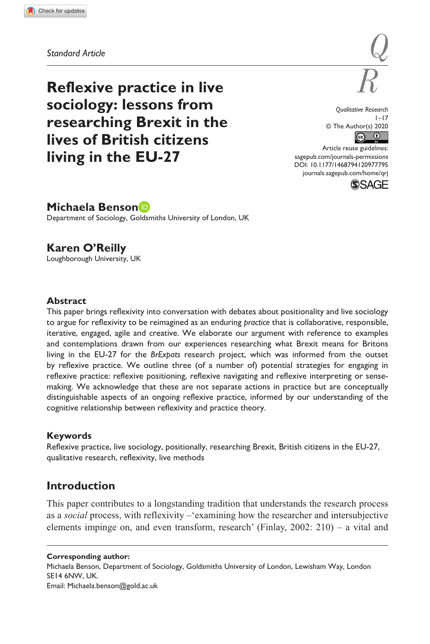**9777[95](http://crossmark.crossref.org/dialog/?doi=10.1177%2F1468794120977795&domain=pdf&date_stamp=2020-12-08)** QRJ0010.1177/1468794120977795Qualitative Research**Benson and O'Reilly**

*Standard Article*

**Reflexive practice in live** *R* **sociology: lessons from researching Brexit in the lives of British citizens living in the EU-27**

*Qualitative Research*  $1 - 17$ © The Author(s) 2020  $\begin{array}{cc} \circ & \bullet \end{array}$ 

*Q*

https://doi.org/10.1177/1468794120977795 DOI: 10.1177/1468794120977795 Article reuse guidelines: [sagepub.com/journals-permissions](https://uk.sagepub.com/en-gb/journals-permissions) [journals.sagepub.com/home/qrj](https://journals.sagepub.com/home/qrj)



# **Michaela Benson**

Department of Sociology, Goldsmiths University of London, UK

# **Karen O'Reilly**

Loughborough University, UK

### **Abstract**

This paper brings reflexivity into conversation with debates about positionality and live sociology to argue for reflexivity to be reimagined as an enduring *practice* that is collaborative, responsible, iterative, engaged, agile and creative. We elaborate our argument with reference to examples and contemplations drawn from our experiences researching what Brexit means for Britons living in the EU-27 for the *BrExpats* research project, which was informed from the outset by reflexive practice. We outline three (of a number of) potential strategies for engaging in reflexive practice: reflexive positioning, reflexive navigating and reflexive interpreting or sensemaking. We acknowledge that these are not separate actions in practice but are conceptually distinguishable aspects of an ongoing reflexive practice, informed by our understanding of the cognitive relationship between reflexivity and practice theory.

### **Keywords**

Reflexive practice, live sociology, positionally, researching Brexit, British citizens in the EU-27, qualitative research, reflexivity, live methods

# **Introduction**

This paper contributes to a longstanding tradition that understands the research process as a *social* process, with reflexivity –'examining how the researcher and intersubjective elements impinge on, and even transform, research' (Finlay, 2002: 210) – a vital and

#### **Corresponding author:**

Michaela Benson, Department of Sociology, Goldsmiths University of London, Lewisham Way, London SE14 6NW, UK. Email: [Michaela.benson@gold.ac.uk](mailto:Michaela.benson@gold.ac.uk)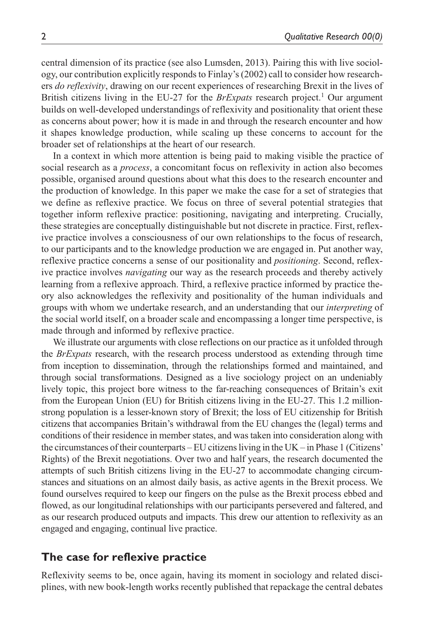central dimension of its practice (see also Lumsden, 2013). Pairing this with live sociology, our contribution explicitly responds to Finlay's (2002) call to consider how researchers *do reflexivity*, drawing on our recent experiences of researching Brexit in the lives of British citizens living in the EU-27 for the *BrExpats* research project.<sup>1</sup> Our argument builds on well-developed understandings of reflexivity and positionality that orient these as concerns about power; how it is made in and through the research encounter and how it shapes knowledge production, while scaling up these concerns to account for the broader set of relationships at the heart of our research.

In a context in which more attention is being paid to making visible the practice of social research as a *process*, a concomitant focus on reflexivity in action also becomes possible, organised around questions about what this does to the research encounter and the production of knowledge. In this paper we make the case for a set of strategies that we define as reflexive practice. We focus on three of several potential strategies that together inform reflexive practice: positioning, navigating and interpreting. Crucially, these strategies are conceptually distinguishable but not discrete in practice. First, reflexive practice involves a consciousness of our own relationships to the focus of research, to our participants and to the knowledge production we are engaged in. Put another way, reflexive practice concerns a sense of our positionality and *positioning*. Second, reflexive practice involves *navigating* our way as the research proceeds and thereby actively learning from a reflexive approach. Third, a reflexive practice informed by practice theory also acknowledges the reflexivity and positionality of the human individuals and groups with whom we undertake research, and an understanding that our *interpreting* of the social world itself, on a broader scale and encompassing a longer time perspective, is made through and informed by reflexive practice.

We illustrate our arguments with close reflections on our practice as it unfolded through the *BrExpats* research, with the research process understood as extending through time from inception to dissemination, through the relationships formed and maintained, and through social transformations. Designed as a live sociology project on an undeniably lively topic, this project bore witness to the far-reaching consequences of Britain's exit from the European Union (EU) for British citizens living in the EU-27. This 1.2 millionstrong population is a lesser-known story of Brexit; the loss of EU citizenship for British citizens that accompanies Britain's withdrawal from the EU changes the (legal) terms and conditions of their residence in member states, and was taken into consideration along with the circumstances of their counterparts – EU citizens living in the UK – in Phase 1 (Citizens' Rights) of the Brexit negotiations. Over two and half years, the research documented the attempts of such British citizens living in the EU-27 to accommodate changing circumstances and situations on an almost daily basis, as active agents in the Brexit process. We found ourselves required to keep our fingers on the pulse as the Brexit process ebbed and flowed, as our longitudinal relationships with our participants persevered and faltered, and as our research produced outputs and impacts. This drew our attention to reflexivity as an engaged and engaging, continual live practice.

## **The case for reflexive practice**

Reflexivity seems to be, once again, having its moment in sociology and related disciplines, with new book-length works recently published that repackage the central debates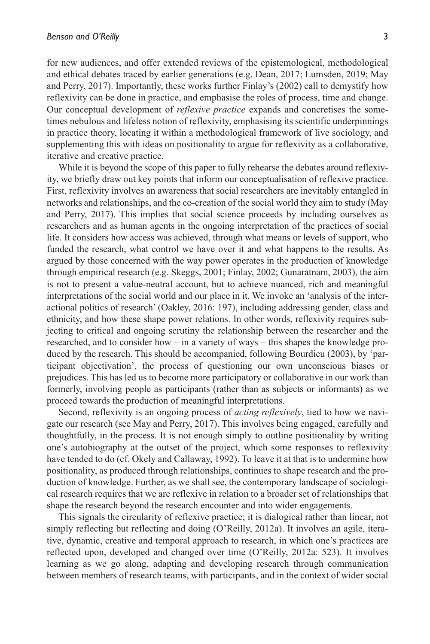for new audiences, and offer extended reviews of the epistemological, methodological and ethical debates traced by earlier generations (e.g. Dean, 2017; Lumsden, 2019; May and Perry, 2017). Importantly, these works further Finlay's (2002) call to demystify how reflexivity can be done in practice, and emphasise the roles of process, time and change. Our conceptual development of *reflexive practice* expands and concretises the sometimes nebulous and lifeless notion of reflexivity, emphasising its scientific underpinnings in practice theory, locating it within a methodological framework of live sociology, and supplementing this with ideas on positionality to argue for reflexivity as a collaborative, iterative and creative practice.

While it is beyond the scope of this paper to fully rehearse the debates around reflexivity, we briefly draw out key points that inform our conceptualisation of reflexive practice. First, reflexivity involves an awareness that social researchers are inevitably entangled in networks and relationships, and the co-creation of the social world they aim to study (May and Perry, 2017). This implies that social science proceeds by including ourselves as researchers and as human agents in the ongoing interpretation of the practices of social life. It considers how access was achieved, through what means or levels of support, who funded the research, what control we have over it and what happens to the results. As argued by those concerned with the way power operates in the production of knowledge through empirical research (e.g. Skeggs, 2001; Finlay, 2002; Gunaratnam, 2003), the aim is not to present a value-neutral account, but to achieve nuanced, rich and meaningful interpretations of the social world and our place in it. We invoke an 'analysis of the interactional politics of research' (Oakley, 2016: 197), including addressing gender, class and ethnicity, and how these shape power relations. In other words, reflexivity requires subjecting to critical and ongoing scrutiny the relationship between the researcher and the researched, and to consider how – in a variety of ways – this shapes the knowledge produced by the research. This should be accompanied, following Bourdieu (2003), by 'participant objectivation', the process of questioning our own unconscious biases or prejudices. This has led us to become more participatory or collaborative in our work than formerly, involving people as participants (rather than as subjects or informants) as we proceed towards the production of meaningful interpretations.

Second, reflexivity is an ongoing process of *acting reflexively*, tied to how we navigate our research (see May and Perry, 2017). This involves being engaged, carefully and thoughtfully, in the process. It is not enough simply to outline positionality by writing one's autobiography at the outset of the project, which some responses to reflexivity have tended to do (cf. Okely and Callaway, 1992). To leave it at that is to undermine how positionality, as produced through relationships, continues to shape research and the production of knowledge. Further, as we shall see, the contemporary landscape of sociological research requires that we are reflexive in relation to a broader set of relationships that shape the research beyond the research encounter and into wider engagements.

This signals the circularity of reflexive practice; it is dialogical rather than linear, not simply reflecting but reflecting and doing (O'Reilly, 2012a). It involves an agile, iterative, dynamic, creative and temporal approach to research, in which one's practices are reflected upon, developed and changed over time (O'Reilly, 2012a: 523). It involves learning as we go along, adapting and developing research through communication between members of research teams, with participants, and in the context of wider social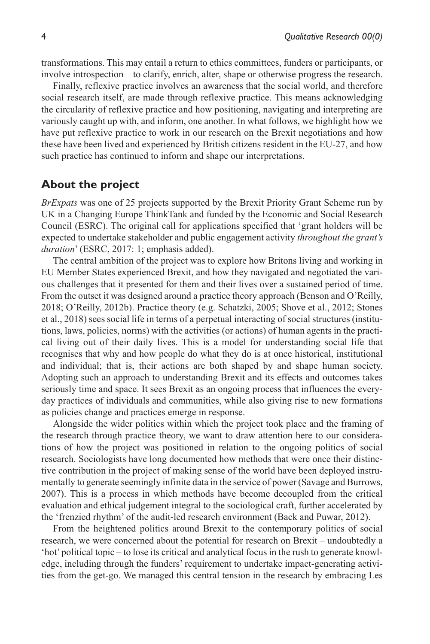transformations. This may entail a return to ethics committees, funders or participants, or involve introspection – to clarify, enrich, alter, shape or otherwise progress the research.

Finally, reflexive practice involves an awareness that the social world, and therefore social research itself, are made through reflexive practice. This means acknowledging the circularity of reflexive practice and how positioning, navigating and interpreting are variously caught up with, and inform, one another. In what follows, we highlight how we have put reflexive practice to work in our research on the Brexit negotiations and how these have been lived and experienced by British citizens resident in the EU-27, and how such practice has continued to inform and shape our interpretations.

## **About the project**

*BrExpats* was one of 25 projects supported by the Brexit Priority Grant Scheme run by UK in a Changing Europe ThinkTank and funded by the Economic and Social Research Council (ESRC). The original call for applications specified that 'grant holders will be expected to undertake stakeholder and public engagement activity *throughout the grant's duration*' (ESRC, 2017: 1; emphasis added).

The central ambition of the project was to explore how Britons living and working in EU Member States experienced Brexit, and how they navigated and negotiated the various challenges that it presented for them and their lives over a sustained period of time. From the outset it was designed around a practice theory approach (Benson and O'Reilly, 2018; O'Reilly, 2012b). Practice theory (e.g. Schatzki, 2005; Shove et al., 2012; Stones et al., 2018) sees social life in terms of a perpetual interacting of social structures (institutions, laws, policies, norms) with the activities (or actions) of human agents in the practical living out of their daily lives. This is a model for understanding social life that recognises that why and how people do what they do is at once historical, institutional and individual; that is, their actions are both shaped by and shape human society. Adopting such an approach to understanding Brexit and its effects and outcomes takes seriously time and space. It sees Brexit as an ongoing process that influences the everyday practices of individuals and communities, while also giving rise to new formations as policies change and practices emerge in response.

Alongside the wider politics within which the project took place and the framing of the research through practice theory, we want to draw attention here to our considerations of how the project was positioned in relation to the ongoing politics of social research. Sociologists have long documented how methods that were once their distinctive contribution in the project of making sense of the world have been deployed instrumentally to generate seemingly infinite data in the service of power (Savage and Burrows, 2007). This is a process in which methods have become decoupled from the critical evaluation and ethical judgement integral to the sociological craft, further accelerated by the 'frenzied rhythm' of the audit-led research environment (Back and Puwar, 2012).

From the heightened politics around Brexit to the contemporary politics of social research, we were concerned about the potential for research on Brexit – undoubtedly a 'hot' political topic – to lose its critical and analytical focus in the rush to generate knowledge, including through the funders' requirement to undertake impact-generating activities from the get-go. We managed this central tension in the research by embracing Les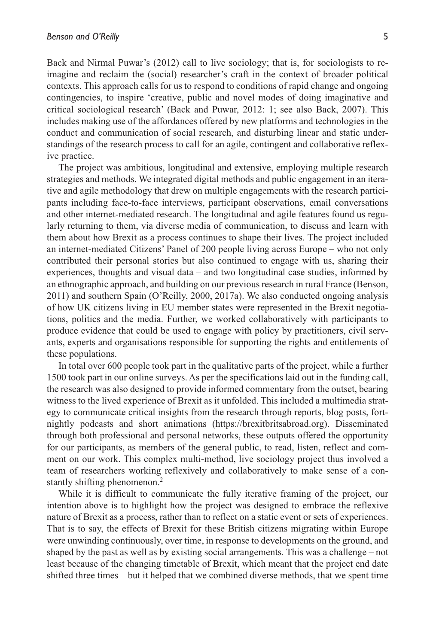Back and Nirmal Puwar's (2012) call to live sociology; that is, for sociologists to reimagine and reclaim the (social) researcher's craft in the context of broader political contexts. This approach calls for us to respond to conditions of rapid change and ongoing contingencies, to inspire 'creative, public and novel modes of doing imaginative and critical sociological research' (Back and Puwar, 2012: 1; see also Back, 2007). This includes making use of the affordances offered by new platforms and technologies in the conduct and communication of social research, and disturbing linear and static understandings of the research process to call for an agile, contingent and collaborative reflexive practice.

The project was ambitious, longitudinal and extensive, employing multiple research strategies and methods. We integrated digital methods and public engagement in an iterative and agile methodology that drew on multiple engagements with the research participants including face-to-face interviews, participant observations, email conversations and other internet-mediated research. The longitudinal and agile features found us regularly returning to them, via diverse media of communication, to discuss and learn with them about how Brexit as a process continues to shape their lives. The project included an internet-mediated Citizens' Panel of 200 people living across Europe – who not only contributed their personal stories but also continued to engage with us, sharing their experiences, thoughts and visual data – and two longitudinal case studies, informed by an ethnographic approach, and building on our previous research in rural France (Benson, 2011) and southern Spain (O'Reilly, 2000, 2017a). We also conducted ongoing analysis of how UK citizens living in EU member states were represented in the Brexit negotiations, politics and the media. Further, we worked collaboratively with participants to produce evidence that could be used to engage with policy by practitioners, civil servants, experts and organisations responsible for supporting the rights and entitlements of these populations.

In total over 600 people took part in the qualitative parts of the project, while a further 1500 took part in our online surveys. As per the specifications laid out in the funding call, the research was also designed to provide informed commentary from the outset, bearing witness to the lived experience of Brexit as it unfolded. This included a multimedia strategy to communicate critical insights from the research through reports, blog posts, fortnightly podcasts and short animations ([https://brexitbritsabroad.org\)](https://brexitbritsabroad.org). Disseminated through both professional and personal networks, these outputs offered the opportunity for our participants, as members of the general public, to read, listen, reflect and comment on our work. This complex multi-method, live sociology project thus involved a team of researchers working reflexively and collaboratively to make sense of a constantly shifting phenomenon.<sup>2</sup>

While it is difficult to communicate the fully iterative framing of the project, our intention above is to highlight how the project was designed to embrace the reflexive nature of Brexit as a process, rather than to reflect on a static event or sets of experiences. That is to say, the effects of Brexit for these British citizens migrating within Europe were unwinding continuously, over time, in response to developments on the ground, and shaped by the past as well as by existing social arrangements. This was a challenge – not least because of the changing timetable of Brexit, which meant that the project end date shifted three times – but it helped that we combined diverse methods, that we spent time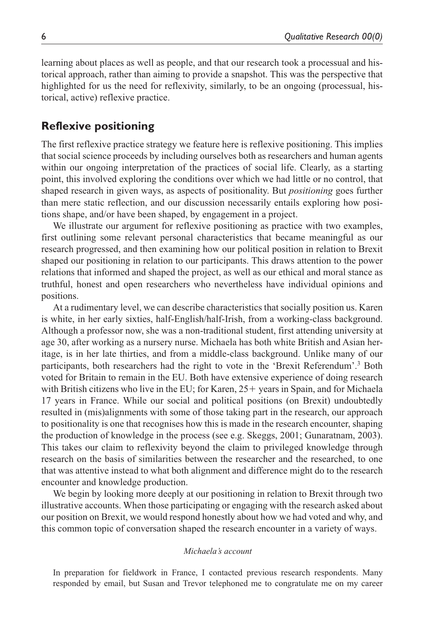learning about places as well as people, and that our research took a processual and historical approach, rather than aiming to provide a snapshot. This was the perspective that highlighted for us the need for reflexivity, similarly, to be an ongoing (processual, historical, active) reflexive practice.

# **Reflexive positioning**

The first reflexive practice strategy we feature here is reflexive positioning. This implies that social science proceeds by including ourselves both as researchers and human agents within our ongoing interpretation of the practices of social life. Clearly, as a starting point, this involved exploring the conditions over which we had little or no control, that shaped research in given ways, as aspects of positionality. But *positioning* goes further than mere static reflection, and our discussion necessarily entails exploring how positions shape, and/or have been shaped, by engagement in a project.

We illustrate our argument for reflexive positioning as practice with two examples, first outlining some relevant personal characteristics that became meaningful as our research progressed, and then examining how our political position in relation to Brexit shaped our positioning in relation to our participants. This draws attention to the power relations that informed and shaped the project, as well as our ethical and moral stance as truthful, honest and open researchers who nevertheless have individual opinions and positions.

At a rudimentary level, we can describe characteristics that socially position us. Karen is white, in her early sixties, half-English/half-Irish, from a working-class background. Although a professor now, she was a non-traditional student, first attending university at age 30, after working as a nursery nurse. Michaela has both white British and Asian heritage, is in her late thirties, and from a middle-class background. Unlike many of our participants, both researchers had the right to vote in the 'Brexit Referendum'.<sup>3</sup> Both voted for Britain to remain in the EU. Both have extensive experience of doing research with British citizens who live in the EU; for Karen,  $25+$  years in Spain, and for Michaela 17 years in France. While our social and political positions (on Brexit) undoubtedly resulted in (mis)alignments with some of those taking part in the research, our approach to positionality is one that recognises how this is made in the research encounter, shaping the production of knowledge in the process (see e.g. Skeggs, 2001; Gunaratnam, 2003). This takes our claim to reflexivity beyond the claim to privileged knowledge through research on the basis of similarities between the researcher and the researched, to one that was attentive instead to what both alignment and difference might do to the research encounter and knowledge production.

We begin by looking more deeply at our positioning in relation to Brexit through two illustrative accounts. When those participating or engaging with the research asked about our position on Brexit, we would respond honestly about how we had voted and why, and this common topic of conversation shaped the research encounter in a variety of ways.

#### *Michaela's account*

In preparation for fieldwork in France, I contacted previous research respondents. Many responded by email, but Susan and Trevor telephoned me to congratulate me on my career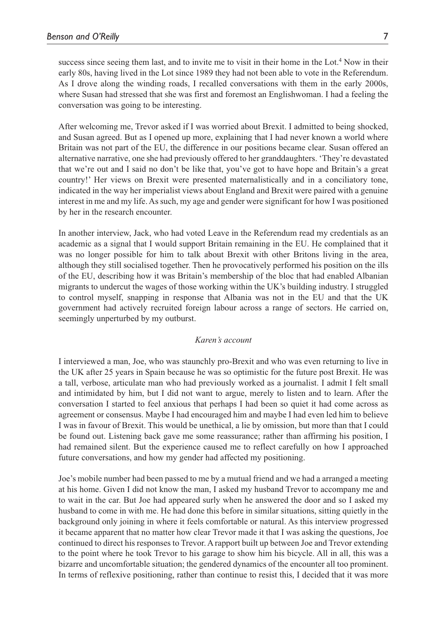success since seeing them last, and to invite me to visit in their home in the Lot.<sup>4</sup> Now in their early 80s, having lived in the Lot since 1989 they had not been able to vote in the Referendum. As I drove along the winding roads, I recalled conversations with them in the early 2000s, where Susan had stressed that she was first and foremost an Englishwoman. I had a feeling the conversation was going to be interesting.

After welcoming me, Trevor asked if I was worried about Brexit. I admitted to being shocked, and Susan agreed. But as I opened up more, explaining that I had never known a world where Britain was not part of the EU, the difference in our positions became clear. Susan offered an alternative narrative, one she had previously offered to her granddaughters. 'They're devastated that we're out and I said no don't be like that, you've got to have hope and Britain's a great country!' Her views on Brexit were presented maternalistically and in a conciliatory tone, indicated in the way her imperialist views about England and Brexit were paired with a genuine interest in me and my life. As such, my age and gender were significant for how I was positioned by her in the research encounter.

In another interview, Jack, who had voted Leave in the Referendum read my credentials as an academic as a signal that I would support Britain remaining in the EU. He complained that it was no longer possible for him to talk about Brexit with other Britons living in the area, although they still socialised together. Then he provocatively performed his position on the ills of the EU, describing how it was Britain's membership of the bloc that had enabled Albanian migrants to undercut the wages of those working within the UK's building industry. I struggled to control myself, snapping in response that Albania was not in the EU and that the UK government had actively recruited foreign labour across a range of sectors. He carried on, seemingly unperturbed by my outburst.

#### *Karen's account*

I interviewed a man, Joe, who was staunchly pro-Brexit and who was even returning to live in the UK after 25 years in Spain because he was so optimistic for the future post Brexit. He was a tall, verbose, articulate man who had previously worked as a journalist. I admit I felt small and intimidated by him, but I did not want to argue, merely to listen and to learn. After the conversation I started to feel anxious that perhaps I had been so quiet it had come across as agreement or consensus. Maybe I had encouraged him and maybe I had even led him to believe I was in favour of Brexit. This would be unethical, a lie by omission, but more than that I could be found out. Listening back gave me some reassurance; rather than affirming his position, I had remained silent. But the experience caused me to reflect carefully on how I approached future conversations, and how my gender had affected my positioning.

Joe's mobile number had been passed to me by a mutual friend and we had a arranged a meeting at his home. Given I did not know the man, I asked my husband Trevor to accompany me and to wait in the car. But Joe had appeared surly when he answered the door and so I asked my husband to come in with me. He had done this before in similar situations, sitting quietly in the background only joining in where it feels comfortable or natural. As this interview progressed it became apparent that no matter how clear Trevor made it that I was asking the questions, Joe continued to direct his responses to Trevor. A rapport built up between Joe and Trevor extending to the point where he took Trevor to his garage to show him his bicycle. All in all, this was a bizarre and uncomfortable situation; the gendered dynamics of the encounter all too prominent. In terms of reflexive positioning, rather than continue to resist this, I decided that it was more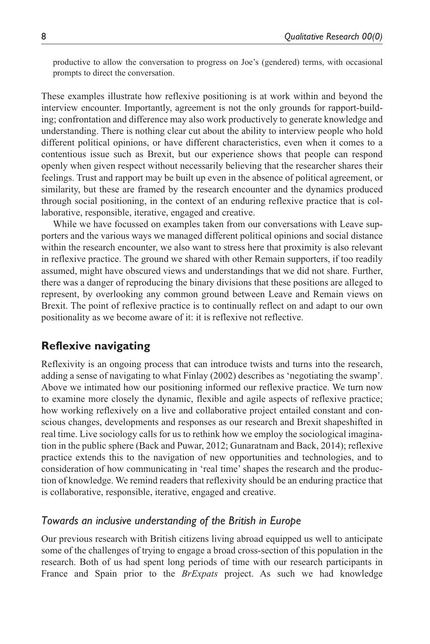productive to allow the conversation to progress on Joe's (gendered) terms, with occasional prompts to direct the conversation.

These examples illustrate how reflexive positioning is at work within and beyond the interview encounter. Importantly, agreement is not the only grounds for rapport-building; confrontation and difference may also work productively to generate knowledge and understanding. There is nothing clear cut about the ability to interview people who hold different political opinions, or have different characteristics, even when it comes to a contentious issue such as Brexit, but our experience shows that people can respond openly when given respect without necessarily believing that the researcher shares their feelings. Trust and rapport may be built up even in the absence of political agreement, or similarity, but these are framed by the research encounter and the dynamics produced through social positioning, in the context of an enduring reflexive practice that is collaborative, responsible, iterative, engaged and creative.

While we have focussed on examples taken from our conversations with Leave supporters and the various ways we managed different political opinions and social distance within the research encounter, we also want to stress here that proximity is also relevant in reflexive practice. The ground we shared with other Remain supporters, if too readily assumed, might have obscured views and understandings that we did not share. Further, there was a danger of reproducing the binary divisions that these positions are alleged to represent, by overlooking any common ground between Leave and Remain views on Brexit. The point of reflexive practice is to continually reflect on and adapt to our own positionality as we become aware of it: it is reflexive not reflective.

## **Reflexive navigating**

Reflexivity is an ongoing process that can introduce twists and turns into the research, adding a sense of navigating to what Finlay (2002) describes as 'negotiating the swamp'. Above we intimated how our positioning informed our reflexive practice. We turn now to examine more closely the dynamic, flexible and agile aspects of reflexive practice; how working reflexively on a live and collaborative project entailed constant and conscious changes, developments and responses as our research and Brexit shapeshifted in real time. Live sociology calls for us to rethink how we employ the sociological imagination in the public sphere (Back and Puwar, 2012; Gunaratnam and Back, 2014); reflexive practice extends this to the navigation of new opportunities and technologies, and to consideration of how communicating in 'real time' shapes the research and the production of knowledge. We remind readers that reflexivity should be an enduring practice that is collaborative, responsible, iterative, engaged and creative.

### *Towards an inclusive understanding of the British in Europe*

Our previous research with British citizens living abroad equipped us well to anticipate some of the challenges of trying to engage a broad cross-section of this population in the research. Both of us had spent long periods of time with our research participants in France and Spain prior to the *BrExpats* project. As such we had knowledge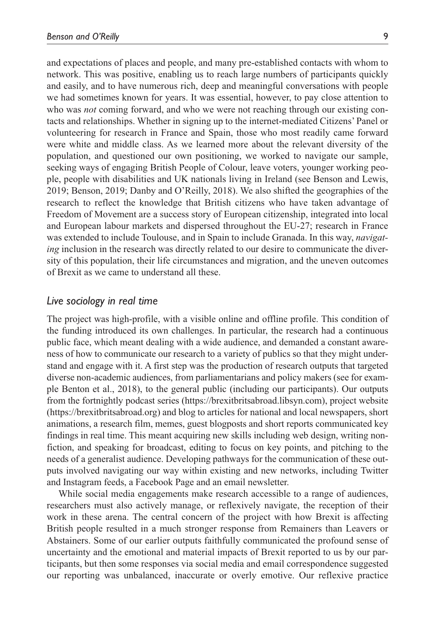and expectations of places and people, and many pre-established contacts with whom to network. This was positive, enabling us to reach large numbers of participants quickly and easily, and to have numerous rich, deep and meaningful conversations with people we had sometimes known for years. It was essential, however, to pay close attention to who was *not* coming forward, and who we were not reaching through our existing contacts and relationships. Whether in signing up to the internet-mediated Citizens' Panel or volunteering for research in France and Spain, those who most readily came forward were white and middle class. As we learned more about the relevant diversity of the population, and questioned our own positioning, we worked to navigate our sample, seeking ways of engaging British People of Colour, leave voters, younger working people, people with disabilities and UK nationals living in Ireland (see Benson and Lewis, 2019; Benson, 2019; Danby and O'Reilly, 2018). We also shifted the geographies of the research to reflect the knowledge that British citizens who have taken advantage of Freedom of Movement are a success story of European citizenship, integrated into local and European labour markets and dispersed throughout the EU-27; research in France was extended to include Toulouse, and in Spain to include Granada. In this way, *navigating* inclusion in the research was directly related to our desire to communicate the diversity of this population, their life circumstances and migration, and the uneven outcomes of Brexit as we came to understand all these.

### *Live sociology in real time*

The project was high-profile, with a visible online and offline profile. This condition of the funding introduced its own challenges. In particular, the research had a continuous public face, which meant dealing with a wide audience, and demanded a constant awareness of how to communicate our research to a variety of publics so that they might understand and engage with it. A first step was the production of research outputs that targeted diverse non-academic audiences, from parliamentarians and policy makers (see for example Benton et al., 2018), to the general public (including our participants). Our outputs from the fortnightly podcast series [\(https://brexitbritsabroad.libsyn.com](https://brexitbritsabroad.libsyn.com)), project website [\(https://brexitbritsabroad.org\)](https://brexitbritsabroad.org) and blog to articles for national and local newspapers, short animations, a research film, memes, guest blogposts and short reports communicated key findings in real time. This meant acquiring new skills including web design, writing nonfiction, and speaking for broadcast, editing to focus on key points, and pitching to the needs of a generalist audience. Developing pathways for the communication of these outputs involved navigating our way within existing and new networks, including Twitter and Instagram feeds, a Facebook Page and an email newsletter.

While social media engagements make research accessible to a range of audiences, researchers must also actively manage, or reflexively navigate, the reception of their work in these arena. The central concern of the project with how Brexit is affecting British people resulted in a much stronger response from Remainers than Leavers or Abstainers. Some of our earlier outputs faithfully communicated the profound sense of uncertainty and the emotional and material impacts of Brexit reported to us by our participants, but then some responses via social media and email correspondence suggested our reporting was unbalanced, inaccurate or overly emotive. Our reflexive practice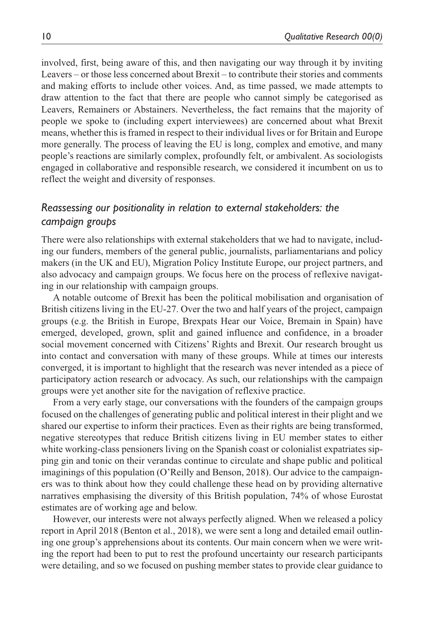involved, first, being aware of this, and then navigating our way through it by inviting Leavers – or those less concerned about Brexit – to contribute their stories and comments and making efforts to include other voices. And, as time passed, we made attempts to draw attention to the fact that there are people who cannot simply be categorised as Leavers, Remainers or Abstainers. Nevertheless, the fact remains that the majority of people we spoke to (including expert interviewees) are concerned about what Brexit means, whether this is framed in respect to their individual lives or for Britain and Europe more generally. The process of leaving the EU is long, complex and emotive, and many people's reactions are similarly complex, profoundly felt, or ambivalent. As sociologists engaged in collaborative and responsible research, we considered it incumbent on us to reflect the weight and diversity of responses.

## *Reassessing our positionality in relation to external stakeholders: the campaign groups*

There were also relationships with external stakeholders that we had to navigate, including our funders, members of the general public, journalists, parliamentarians and policy makers (in the UK and EU), Migration Policy Institute Europe, our project partners, and also advocacy and campaign groups. We focus here on the process of reflexive navigating in our relationship with campaign groups.

A notable outcome of Brexit has been the political mobilisation and organisation of British citizens living in the EU-27. Over the two and half years of the project, campaign groups (e.g. the British in Europe, Brexpats Hear our Voice, Bremain in Spain) have emerged, developed, grown, split and gained influence and confidence, in a broader social movement concerned with Citizens' Rights and Brexit. Our research brought us into contact and conversation with many of these groups. While at times our interests converged, it is important to highlight that the research was never intended as a piece of participatory action research or advocacy. As such, our relationships with the campaign groups were yet another site for the navigation of reflexive practice.

From a very early stage, our conversations with the founders of the campaign groups focused on the challenges of generating public and political interest in their plight and we shared our expertise to inform their practices. Even as their rights are being transformed, negative stereotypes that reduce British citizens living in EU member states to either white working-class pensioners living on the Spanish coast or colonialist expatriates sipping gin and tonic on their verandas continue to circulate and shape public and political imaginings of this population (O'Reilly and Benson, 2018). Our advice to the campaigners was to think about how they could challenge these head on by providing alternative narratives emphasising the diversity of this British population, 74% of whose Eurostat estimates are of working age and below.

However, our interests were not always perfectly aligned. When we released a policy report in April 2018 (Benton et al., 2018), we were sent a long and detailed email outlining one group's apprehensions about its contents. Our main concern when we were writing the report had been to put to rest the profound uncertainty our research participants were detailing, and so we focused on pushing member states to provide clear guidance to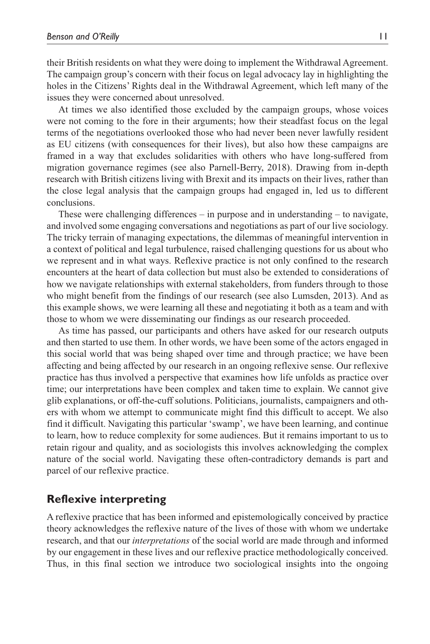their British residents on what they were doing to implement the Withdrawal Agreement. The campaign group's concern with their focus on legal advocacy lay in highlighting the holes in the Citizens' Rights deal in the Withdrawal Agreement, which left many of the issues they were concerned about unresolved.

At times we also identified those excluded by the campaign groups, whose voices were not coming to the fore in their arguments; how their steadfast focus on the legal terms of the negotiations overlooked those who had never been never lawfully resident as EU citizens (with consequences for their lives), but also how these campaigns are framed in a way that excludes solidarities with others who have long-suffered from migration governance regimes (see also Parnell-Berry, 2018). Drawing from in-depth research with British citizens living with Brexit and its impacts on their lives, rather than the close legal analysis that the campaign groups had engaged in, led us to different conclusions.

These were challenging differences – in purpose and in understanding – to navigate, and involved some engaging conversations and negotiations as part of our live sociology. The tricky terrain of managing expectations, the dilemmas of meaningful intervention in a context of political and legal turbulence, raised challenging questions for us about who we represent and in what ways. Reflexive practice is not only confined to the research encounters at the heart of data collection but must also be extended to considerations of how we navigate relationships with external stakeholders, from funders through to those who might benefit from the findings of our research (see also Lumsden, 2013). And as this example shows, we were learning all these and negotiating it both as a team and with those to whom we were disseminating our findings as our research proceeded.

As time has passed, our participants and others have asked for our research outputs and then started to use them. In other words, we have been some of the actors engaged in this social world that was being shaped over time and through practice; we have been affecting and being affected by our research in an ongoing reflexive sense. Our reflexive practice has thus involved a perspective that examines how life unfolds as practice over time; our interpretations have been complex and taken time to explain. We cannot give glib explanations, or off-the-cuff solutions. Politicians, journalists, campaigners and others with whom we attempt to communicate might find this difficult to accept. We also find it difficult. Navigating this particular 'swamp', we have been learning, and continue to learn, how to reduce complexity for some audiences. But it remains important to us to retain rigour and quality, and as sociologists this involves acknowledging the complex nature of the social world. Navigating these often-contradictory demands is part and parcel of our reflexive practice.

# **Reflexive interpreting**

A reflexive practice that has been informed and epistemologically conceived by practice theory acknowledges the reflexive nature of the lives of those with whom we undertake research, and that our *interpretations* of the social world are made through and informed by our engagement in these lives and our reflexive practice methodologically conceived. Thus, in this final section we introduce two sociological insights into the ongoing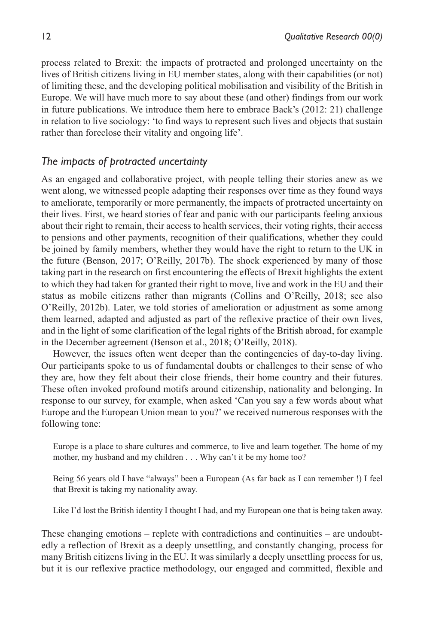process related to Brexit: the impacts of protracted and prolonged uncertainty on the lives of British citizens living in EU member states, along with their capabilities (or not) of limiting these, and the developing political mobilisation and visibility of the British in Europe. We will have much more to say about these (and other) findings from our work in future publications. We introduce them here to embrace Back's (2012: 21) challenge in relation to live sociology: 'to find ways to represent such lives and objects that sustain rather than foreclose their vitality and ongoing life'.

## *The impacts of protracted uncertainty*

As an engaged and collaborative project, with people telling their stories anew as we went along, we witnessed people adapting their responses over time as they found ways to ameliorate, temporarily or more permanently, the impacts of protracted uncertainty on their lives. First, we heard stories of fear and panic with our participants feeling anxious about their right to remain, their access to health services, their voting rights, their access to pensions and other payments, recognition of their qualifications, whether they could be joined by family members, whether they would have the right to return to the UK in the future (Benson, 2017; O'Reilly, 2017b). The shock experienced by many of those taking part in the research on first encountering the effects of Brexit highlights the extent to which they had taken for granted their right to move, live and work in the EU and their status as mobile citizens rather than migrants (Collins and O'Reilly, 2018; see also O'Reilly, 2012b). Later, we told stories of amelioration or adjustment as some among them learned, adapted and adjusted as part of the reflexive practice of their own lives, and in the light of some clarification of the legal rights of the British abroad, for example in the December agreement (Benson et al., 2018; O'Reilly, 2018).

However, the issues often went deeper than the contingencies of day-to-day living. Our participants spoke to us of fundamental doubts or challenges to their sense of who they are, how they felt about their close friends, their home country and their futures. These often invoked profound motifs around citizenship, nationality and belonging. In response to our survey, for example, when asked 'Can you say a few words about what Europe and the European Union mean to you?' we received numerous responses with the following tone:

Europe is a place to share cultures and commerce, to live and learn together. The home of my mother, my husband and my children . . . Why can't it be my home too?

Being 56 years old I have "always" been a European (As far back as I can remember !) I feel that Brexit is taking my nationality away.

Like I'd lost the British identity I thought I had, and my European one that is being taken away.

These changing emotions – replete with contradictions and continuities – are undoubtedly a reflection of Brexit as a deeply unsettling, and constantly changing, process for many British citizens living in the EU. It was similarly a deeply unsettling process for us, but it is our reflexive practice methodology, our engaged and committed, flexible and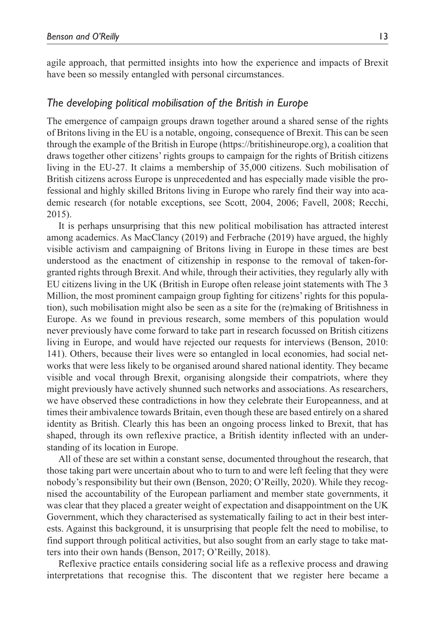agile approach, that permitted insights into how the experience and impacts of Brexit have been so messily entangled with personal circumstances.

## *The developing political mobilisation of the British in Europe*

The emergence of campaign groups drawn together around a shared sense of the rights of Britons living in the EU is a notable, ongoing, consequence of Brexit. This can be seen through the example of the British in Europe [\(https://britishineurope.org](https://britishineurope.org)), a coalition that draws together other citizens' rights groups to campaign for the rights of British citizens living in the EU-27. It claims a membership of 35,000 citizens. Such mobilisation of British citizens across Europe is unprecedented and has especially made visible the professional and highly skilled Britons living in Europe who rarely find their way into academic research (for notable exceptions, see Scott, 2004, 2006; Favell, 2008; Recchi, 2015).

It is perhaps unsurprising that this new political mobilisation has attracted interest among academics. As MacClancy (2019) and Ferbrache (2019) have argued, the highly visible activism and campaigning of Britons living in Europe in these times are best understood as the enactment of citizenship in response to the removal of taken-forgranted rights through Brexit. And while, through their activities, they regularly ally with EU citizens living in the UK (British in Europe often release joint statements with The 3 Million, the most prominent campaign group fighting for citizens' rights for this population), such mobilisation might also be seen as a site for the (re)making of Britishness in Europe. As we found in previous research, some members of this population would never previously have come forward to take part in research focussed on British citizens living in Europe, and would have rejected our requests for interviews (Benson, 2010: 141). Others, because their lives were so entangled in local economies, had social networks that were less likely to be organised around shared national identity. They became visible and vocal through Brexit, organising alongside their compatriots, where they might previously have actively shunned such networks and associations. As researchers, we have observed these contradictions in how they celebrate their Europeanness, and at times their ambivalence towards Britain, even though these are based entirely on a shared identity as British. Clearly this has been an ongoing process linked to Brexit, that has shaped, through its own reflexive practice, a British identity inflected with an understanding of its location in Europe.

All of these are set within a constant sense, documented throughout the research, that those taking part were uncertain about who to turn to and were left feeling that they were nobody's responsibility but their own (Benson, 2020; O'Reilly, 2020). While they recognised the accountability of the European parliament and member state governments, it was clear that they placed a greater weight of expectation and disappointment on the UK Government, which they characterised as systematically failing to act in their best interests. Against this background, it is unsurprising that people felt the need to mobilise, to find support through political activities, but also sought from an early stage to take matters into their own hands (Benson, 2017; O'Reilly, 2018).

Reflexive practice entails considering social life as a reflexive process and drawing interpretations that recognise this. The discontent that we register here became a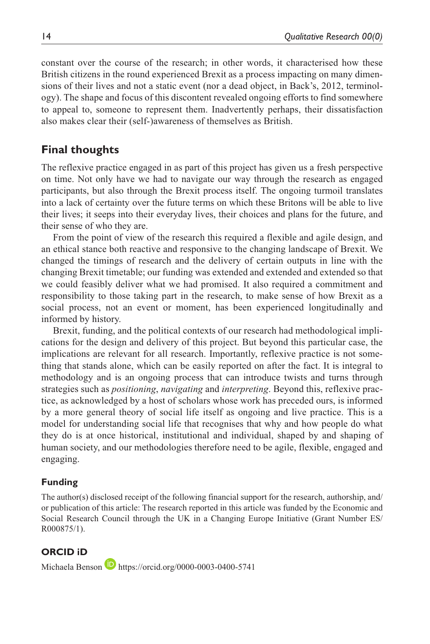constant over the course of the research; in other words, it characterised how these British citizens in the round experienced Brexit as a process impacting on many dimensions of their lives and not a static event (nor a dead object, in Back's, 2012, terminology). The shape and focus of this discontent revealed ongoing efforts to find somewhere to appeal to, someone to represent them. Inadvertently perhaps, their dissatisfaction also makes clear their (self-)awareness of themselves as British.

# **Final thoughts**

The reflexive practice engaged in as part of this project has given us a fresh perspective on time. Not only have we had to navigate our way through the research as engaged participants, but also through the Brexit process itself. The ongoing turmoil translates into a lack of certainty over the future terms on which these Britons will be able to live their lives; it seeps into their everyday lives, their choices and plans for the future, and their sense of who they are.

From the point of view of the research this required a flexible and agile design, and an ethical stance both reactive and responsive to the changing landscape of Brexit. We changed the timings of research and the delivery of certain outputs in line with the changing Brexit timetable; our funding was extended and extended and extended so that we could feasibly deliver what we had promised. It also required a commitment and responsibility to those taking part in the research, to make sense of how Brexit as a social process, not an event or moment, has been experienced longitudinally and informed by history.

Brexit, funding, and the political contexts of our research had methodological implications for the design and delivery of this project. But beyond this particular case, the implications are relevant for all research. Importantly, reflexive practice is not something that stands alone, which can be easily reported on after the fact. It is integral to methodology and is an ongoing process that can introduce twists and turns through strategies such as *positioning*, *navigating* and *interpreting*. Beyond this, reflexive practice, as acknowledged by a host of scholars whose work has preceded ours, is informed by a more general theory of social life itself as ongoing and live practice. This is a model for understanding social life that recognises that why and how people do what they do is at once historical, institutional and individual, shaped by and shaping of human society, and our methodologies therefore need to be agile, flexible, engaged and engaging.

### **Funding**

The author(s) disclosed receipt of the following financial support for the research, authorship, and/ or publication of this article: The research reported in this article was funded by the Economic and Social Research Council through the UK in a Changing Europe Initiative (Grant Number ES/ R000875/1).

### **ORCID iD**

Michaela Benson **b** <https://orcid.org/0000-0003-0400-5741>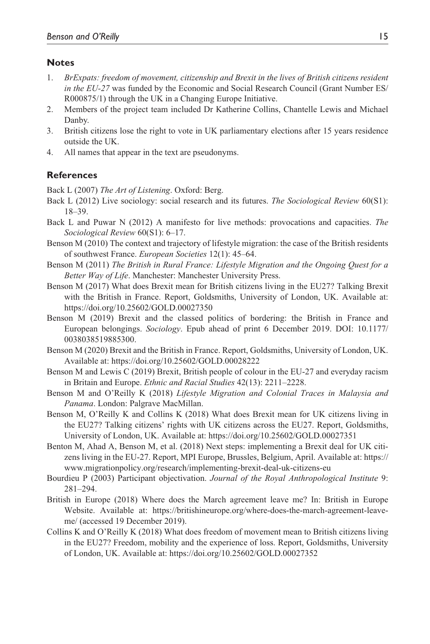### **Notes**

- 1. *BrExpats: freedom of movement, citizenship and Brexit in the lives of British citizens resident in the EU-27* was funded by the Economic and Social Research Council (Grant Number ES/ R000875/1) through the UK in a Changing Europe Initiative.
- 2. Members of the project team included Dr Katherine Collins, Chantelle Lewis and Michael Danby.
- 3. British citizens lose the right to vote in UK parliamentary elections after 15 years residence outside the UK.
- 4. All names that appear in the text are pseudonyms.

### **References**

Back L (2007) *The Art of Listening*. Oxford: Berg.

- Back L (2012) Live sociology: social research and its futures. *The Sociological Review* 60(S1): 18–39.
- Back L and Puwar N (2012) A manifesto for live methods: provocations and capacities. *The Sociological Review* 60(S1): 6–17.
- Benson M (2010) The context and trajectory of lifestyle migration: the case of the British residents of southwest France. *European Societies* 12(1): 45–64.
- Benson M (2011) *The British in Rural France: Lifestyle Migration and the Ongoing Quest for a Better Way of Life*. Manchester: Manchester University Press.
- Benson M (2017) What does Brexit mean for British citizens living in the EU27? Talking Brexit with the British in France. Report, Goldsmiths, University of London, UK. Available at: <https://doi.org/10.25602/GOLD.00027350>
- Benson M (2019) Brexit and the classed politics of bordering: the British in France and European belongings. *Sociology*. Epub ahead of print 6 December 2019. DOI: 10.1177/ 0038038519885300.
- Benson M (2020) Brexit and the British in France. Report, Goldsmiths, University of London, UK. Available at: <https://doi.org/10.25602/GOLD.00028222>
- Benson M and Lewis C (2019) Brexit, British people of colour in the EU-27 and everyday racism in Britain and Europe. *Ethnic and Racial Studies* 42(13): 2211–2228.
- Benson M and O'Reilly K (2018) *Lifestyle Migration and Colonial Traces in Malaysia and Panama*. London: Palgrave MacMillan.
- Benson M, O'Reilly K and Collins K (2018) What does Brexit mean for UK citizens living in the EU27? Talking citizens' rights with UK citizens across the EU27. Report, Goldsmiths, University of London, UK. Available at: <https://doi.org/10.25602/GOLD.00027351>
- Benton M, Ahad A, Benson M, et al. (2018) Next steps: implementing a Brexit deal for UK citizens living in the EU-27. Report, MPI Europe, Brussles, Belgium, April. Available at: [https://](https://www.migrationpolicy.org/research/implementing-brexit-deal-uk-citizens-eu) [www.migrationpolicy.org/research/implementing-brexit-deal-uk-citizens-eu](https://www.migrationpolicy.org/research/implementing-brexit-deal-uk-citizens-eu)
- Bourdieu P (2003) Participant objectivation. *Journal of the Royal Anthropological Institute* 9: 281–294.
- British in Europe (2018) Where does the March agreement leave me? In: British in Europe Website. Available at: [https://britishineurope.org/where-does-the-march-agreement-leave](https://britishineurope.org/where-does-the-march-agreement-leave-me/)[me/](https://britishineurope.org/where-does-the-march-agreement-leave-me/) (accessed 19 December 2019).
- Collins K and O'Reilly K (2018) What does freedom of movement mean to British citizens living in the EU27? Freedom, mobility and the experience of loss. Report, Goldsmiths, University of London, UK. Available at:<https://doi.org/10.25602/GOLD.00027352>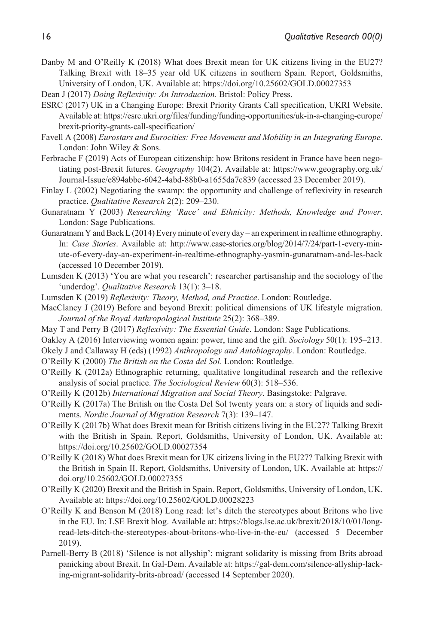Danby M and O'Reilly K (2018) What does Brexit mean for UK citizens living in the EU27? Talking Brexit with 18–35 year old UK citizens in southern Spain. Report, Goldsmiths, University of London, UK. Available at:<https://doi.org/10.25602/GOLD.00027353>

Dean J (2017) *Doing Reflexivity: An Introduction*. Bristol: Policy Press.

- ESRC (2017) UK in a Changing Europe: Brexit Priority Grants Call specification, UKRI Website. Available at: [https://esrc.ukri.org/files/funding/funding-opportunities/uk-in-a-changing-europe/](https://esrc.ukri.org/files/funding/funding-opportunities/uk-in-a-changing-europe/brexit-priority-grants-call-specification/) [brexit-priority-grants-call-specification/](https://esrc.ukri.org/files/funding/funding-opportunities/uk-in-a-changing-europe/brexit-priority-grants-call-specification/)
- Favell A (2008) *Eurostars and Eurocities: Free Movement and Mobility in an Integrating Europe*. London: John Wiley & Sons.
- Ferbrache F (2019) Acts of European citizenship: how Britons resident in France have been negotiating post-Brexit futures. *Geography* 104(2). Available at: [https://www.geography.org.uk/](https://www.geography.org.uk/Journal-Issue/e894abbc-6042-4abd-88b0-a1655da7c839) [Journal-Issue/e894abbc-6042-4abd-88b0-a1655da7c839](https://www.geography.org.uk/Journal-Issue/e894abbc-6042-4abd-88b0-a1655da7c839) (accessed 23 December 2019).
- Finlay L (2002) Negotiating the swamp: the opportunity and challenge of reflexivity in research practice. *Qualitative Research* 2(2): 209–230.
- Gunaratnam Y (2003) *Researching 'Race' and Ethnicity: Methods, Knowledge and Power*. London: Sage Publications.
- Gunaratnam Y and Back L (2014) Every minute of every day an experiment in realtime ethnography. In: *Case Stories*. Available at: [http://www.case-stories.org/blog/2014/7/24/part-1-every-min](http://www.case-stories.org/blog/2014/7/24/part-1-every-minute-of-every-day-an-experiment-in-realtime-ethnography-yasmin-gunaratnam-and-les-back)[ute-of-every-day-an-experiment-in-realtime-ethnography-yasmin-gunaratnam-and-les-back](http://www.case-stories.org/blog/2014/7/24/part-1-every-minute-of-every-day-an-experiment-in-realtime-ethnography-yasmin-gunaratnam-and-les-back)  (accessed 10 December 2019).
- Lumsden K (2013) 'You are what you research': researcher partisanship and the sociology of the 'underdog'. *Qualitative Research* 13(1): 3–18.
- Lumsden K (2019) *Reflexivity: Theory, Method, and Practice*. London: Routledge.
- MacClancy J (2019) Before and beyond Brexit: political dimensions of UK lifestyle migration. *Journal of the Royal Anthropological Institute* 25(2): 368–389.
- May T and Perry B (2017) *Reflexivity: The Essential Guide*. London: Sage Publications.
- Oakley A (2016) Interviewing women again: power, time and the gift. *Sociology* 50(1): 195–213.
- Okely J and Callaway H (eds) (1992) *Anthropology and Autobiography*. London: Routledge.
- O'Reilly K (2000) *The British on the Costa del Sol*. London: Routledge.
- O'Reilly K (2012a) Ethnographic returning, qualitative longitudinal research and the reflexive analysis of social practice. *The Sociological Review* 60(3): 518–536.
- O'Reilly K (2012b) *International Migration and Social Theory*. Basingstoke: Palgrave.
- O'Reilly K (2017a) The British on the Costa Del Sol twenty years on: a story of liquids and sediments. *Nordic Journal of Migration Research* 7(3): 139–147.
- O'Reilly K (2017b) What does Brexit mean for British citizens living in the EU27? Talking Brexit with the British in Spain. Report, Goldsmiths, University of London, UK. Available at: <https://doi.org/10.25602/GOLD.00027354>
- O'Reilly K (2018) What does Brexit mean for UK citizens living in the EU27? Talking Brexit with the British in Spain II. Report, Goldsmiths, University of London, UK. Available at: [https://](https://doi.org/10.25602/GOLD.00027355) [doi.org/10.25602/GOLD.00027355](https://doi.org/10.25602/GOLD.00027355)
- O'Reilly K (2020) Brexit and the British in Spain. Report, Goldsmiths, University of London, UK. Available at:<https://doi.org/10.25602/GOLD.00028223>
- O'Reilly K and Benson M (2018) Long read: let's ditch the stereotypes about Britons who live in the EU. In: LSE Brexit blog. Available at: [https://blogs.lse.ac.uk/brexit/2018/10/01/long](https://blogs.lse.ac.uk/brexit/2018/10/01/long-read-lets-ditch-the-stereotypes-about-britons-who-live-in-the-eu/)[read-lets-ditch-the-stereotypes-about-britons-who-live-in-the-eu/](https://blogs.lse.ac.uk/brexit/2018/10/01/long-read-lets-ditch-the-stereotypes-about-britons-who-live-in-the-eu/) (accessed 5 December 2019).
- Parnell-Berry B (2018) 'Silence is not allyship': migrant solidarity is missing from Brits abroad panicking about Brexit. In Gal-Dem. Available at: [https://gal-dem.com/silence-allyship-lack](https://gal-dem.com/silence-allyship-lacking-migrant-solidarity-brits-abroad/)[ing-migrant-solidarity-brits-abroad/](https://gal-dem.com/silence-allyship-lacking-migrant-solidarity-brits-abroad/) (accessed 14 September 2020).